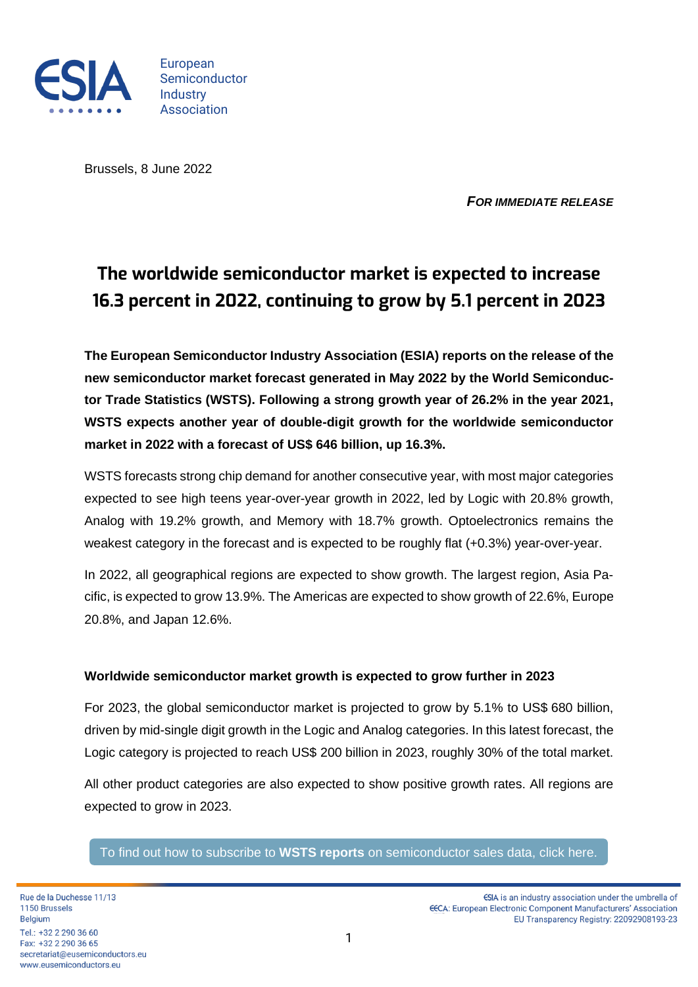

European Semiconductor **Industry** Association

Brussels, 8 June 2022

*FOR IMMEDIATE RELEASE*

## **The worldwide semiconductor market is expected to increase 16.3 percent in 2022, continuing to grow by 5.1 percent in 2023**

**The European Semiconductor Industry Association (ESIA) reports on the release of the new semiconductor market forecast generated in May 2022 by the World Semiconductor Trade Statistics (WSTS). Following a strong growth year of 26.2% in the year 2021, WSTS expects another year of double-digit growth for the worldwide semiconductor market in 2022 with a forecast of US\$ 646 billion, up 16.3%.**

WSTS forecasts strong chip demand for another consecutive year, with most major categories expected to see high teens year-over-year growth in 2022, led by Logic with 20.8% growth, Analog with 19.2% growth, and Memory with 18.7% growth. Optoelectronics remains the weakest category in the forecast and is expected to be roughly flat (+0.3%) year-over-year.

In 2022, all geographical regions are expected to show growth. The largest region, Asia Pacific, is expected to grow 13.9%. The Americas are expected to show growth of 22.6%, Europe 20.8%, and Japan 12.6%.

## **Worldwide semiconductor market growth is expected to grow further in 2023**

For 2023, the global semiconductor market is projected to grow by 5.1% to US\$ 680 billion, driven by mid-single digit growth in the Logic and Analog categories. In this latest forecast, the Logic category is projected to reach US\$ 200 billion in 2023, roughly 30% of the total market.

All other product categories are also expected to show positive growth rates. All regions are expected to grow in 2023.

To find out how to subscribe to **WSTS reports** [on semiconductor sales data, click here.](https://www.eusemiconductors.eu/esia/industry-statistics/wsts)